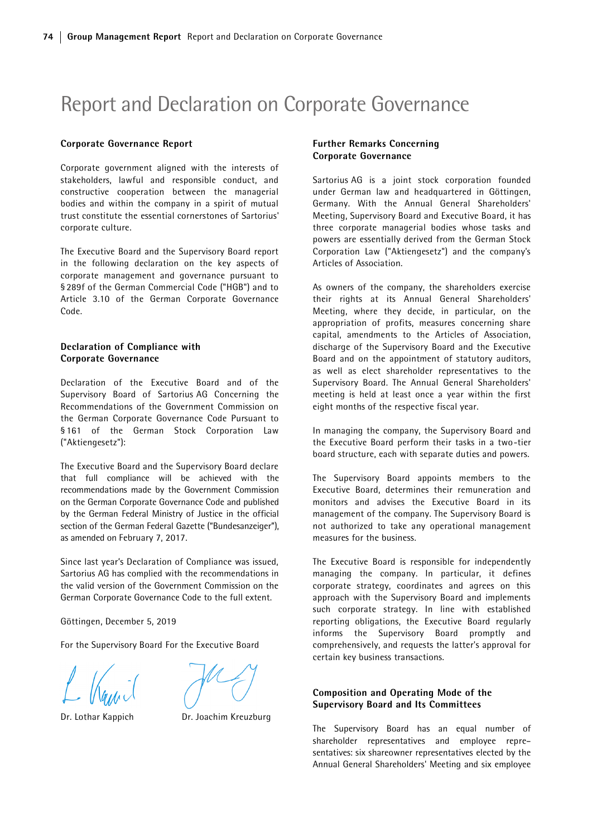# Report and Declaration on Corporate Governance

#### Corporate Governance Report

Corporate government aligned with the interests of stakeholders, lawful and responsible conduct, and constructive cooperation between the managerial bodies and within the company in a spirit of mutual trust constitute the essential cornerstones of Sartorius' corporate culture.

The Executive Board and the Supervisory Board report in the following declaration on the key aspects of corporate management and governance pursuant to § 289f of the German Commercial Code ("HGB") and to Article 3.10 of the German Corporate Governance Code.

# Declaration of Compliance with Corporate Governance

Declaration of the Executive Board and of the Supervisory Board of Sartorius AG Concerning the Recommendations of the Government Commission on the German Corporate Governance Code Pursuant to § 161 of the German Stock Corporation Law ("Aktiengesetz"):

The Executive Board and the Supervisory Board declare that full compliance will be achieved with the recommendations made by the Government Commission on the German Corporate Governance Code and published by the German Federal Ministry of Justice in the official section of the German Federal Gazette ("Bundesanzeiger"), as amended on February 7, 2017.

Since last year's Declaration of Compliance was issued, Sartorius AG has complied with the recommendations in the valid version of the Government Commission on the German Corporate Governance Code to the full extent.

Göttingen, December 5, 2019

For the Supervisory Board For the Executive Board



Dr. Lothar Kappich Dr. Joachim Kreuzburg

# Further Remarks Concerning Corporate Governance

Sartorius AG is a joint stock corporation founded under German law and headquartered in Göttingen, Germany. With the Annual General Shareholders' Meeting, Supervisory Board and Executive Board, it has three corporate managerial bodies whose tasks and powers are essentially derived from the German Stock Corporation Law ("Aktiengesetz") and the company's Articles of Association.

As owners of the company, the shareholders exercise their rights at its Annual General Shareholders' Meeting, where they decide, in particular, on the appropriation of profits, measures concerning share capital, amendments to the Articles of Association, discharge of the Supervisory Board and the Executive Board and on the appointment of statutory auditors, as well as elect shareholder representatives to the Supervisory Board. The Annual General Shareholders' meeting is held at least once a year within the first eight months of the respective fiscal year.

In managing the company, the Supervisory Board and the Executive Board perform their tasks in a two-tier board structure, each with separate duties and powers.

The Supervisory Board appoints members to the Executive Board, determines their remuneration and monitors and advises the Executive Board in its management of the company. The Supervisory Board is not authorized to take any operational management measures for the business.

The Executive Board is responsible for independently managing the company. In particular, it defines corporate strategy, coordinates and agrees on this approach with the Supervisory Board and implements such corporate strategy. In line with established reporting obligations, the Executive Board regularly informs the Supervisory Board promptly and comprehensively, and requests the latter's approval for certain key business transactions.

# Composition and Operating Mode of the Supervisory Board and Its Committees

The Supervisory Board has an equal number of shareholder representatives and employee repre– sentatives: six shareowner representatives elected by the Annual General Shareholders' Meeting and six employee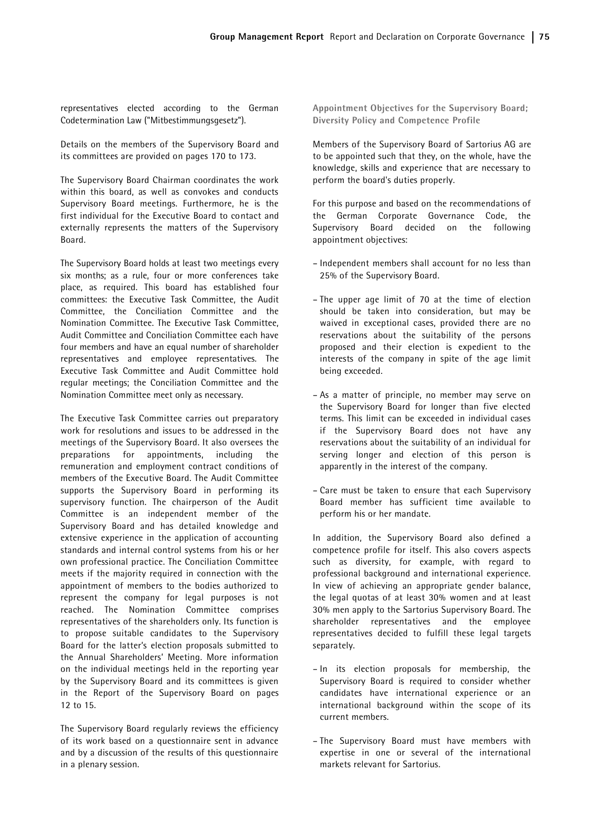representatives elected according to the German Codetermination Law ("Mitbestimmungsgesetz").

Details on the members of the Supervisory Board and its committees are provided on pages 170 to 173.

The Supervisory Board Chairman coordinates the work within this board, as well as convokes and conducts Supervisory Board meetings. Furthermore, he is the first individual for the Executive Board to contact and externally represents the matters of the Supervisory Board.

The Supervisory Board holds at least two meetings every six months; as a rule, four or more conferences take place, as required. This board has established four committees: the Executive Task Committee, the Audit Committee, the Conciliation Committee and the Nomination Committee. The Executive Task Committee, Audit Committee and Conciliation Committee each have four members and have an equal number of shareholder representatives and employee representatives. The Executive Task Committee and Audit Committee hold regular meetings; the Conciliation Committee and the Nomination Committee meet only as necessary.

The Executive Task Committee carries out preparatory work for resolutions and issues to be addressed in the meetings of the Supervisory Board. It also oversees the preparations for appointments, including the remuneration and employment contract conditions of members of the Executive Board. The Audit Committee supports the Supervisory Board in performing its supervisory function. The chairperson of the Audit Committee is an independent member of the Supervisory Board and has detailed knowledge and extensive experience in the application of accounting standards and internal control systems from his or her own professional practice. The Conciliation Committee meets if the majority required in connection with the appointment of members to the bodies authorized to represent the company for legal purposes is not reached. The Nomination Committee comprises representatives of the shareholders only. Its function is to propose suitable candidates to the Supervisory Board for the latter's election proposals submitted to the Annual Shareholders' Meeting. More information on the individual meetings held in the reporting year by the Supervisory Board and its committees is given in the Report of the Supervisory Board on pages 12 to 15.

The Supervisory Board regularly reviews the efficiency of its work based on a questionnaire sent in advance and by a discussion of the results of this questionnaire in a plenary session.

Appointment Objectives for the Supervisory Board; Diversity Policy and Competence Profile

Members of the Supervisory Board of Sartorius AG are to be appointed such that they, on the whole, have the knowledge, skills and experience that are necessary to perform the board's duties properly.

For this purpose and based on the recommendations of the German Corporate Governance Code, the Supervisory Board decided on the following appointment objectives:

- Independent members shall account for no less than 25% of the Supervisory Board.
- The upper age limit of 70 at the time of election should be taken into consideration, but may be waived in exceptional cases, provided there are no reservations about the suitability of the persons proposed and their election is expedient to the interests of the company in spite of the age limit being exceeded.
- As a matter of principle, no member may serve on the Supervisory Board for longer than five elected terms. This limit can be exceeded in individual cases if the Supervisory Board does not have any reservations about the suitability of an individual for serving longer and election of this person is apparently in the interest of the company.
- Care must be taken to ensure that each Supervisory Board member has sufficient time available to perform his or her mandate.

In addition, the Supervisory Board also defined a competence profile for itself. This also covers aspects such as diversity, for example, with regard to professional background and international experience. In view of achieving an appropriate gender balance, the legal quotas of at least 30% women and at least 30% men apply to the Sartorius Supervisory Board. The shareholder representatives and the employee representatives decided to fulfill these legal targets separately.

- In its election proposals for membership, the Supervisory Board is required to consider whether candidates have international experience or an international background within the scope of its current members.
- The Supervisory Board must have members with expertise in one or several of the international markets relevant for Sartorius.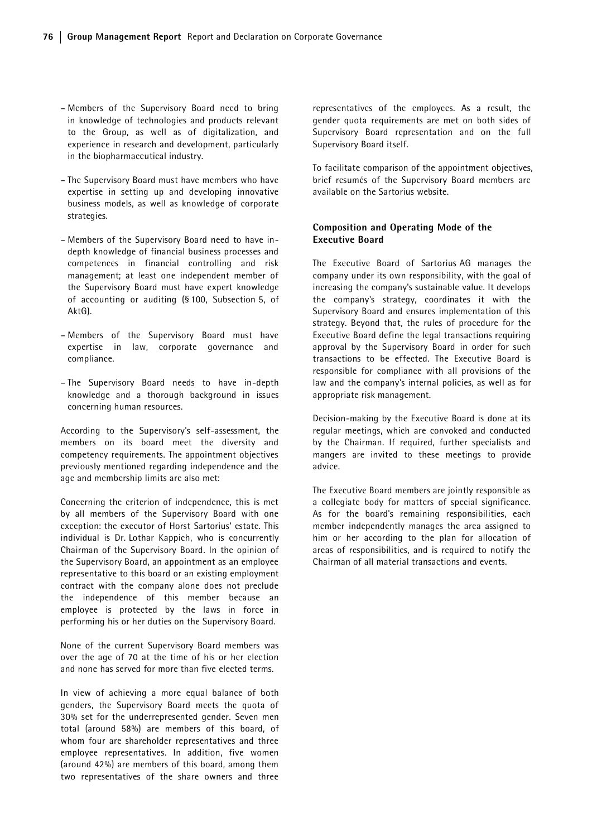- Members of the Supervisory Board need to bring in knowledge of technologies and products relevant to the Group, as well as of digitalization, and experience in research and development, particularly in the biopharmaceutical industry.
- The Supervisory Board must have members who have expertise in setting up and developing innovative business models, as well as knowledge of corporate strategies.
- Members of the Supervisory Board need to have indepth knowledge of financial business processes and competences in financial controlling and risk management; at least one independent member of the Supervisory Board must have expert knowledge of accounting or auditing (§ 100, Subsection 5, of AktG).
- Members of the Supervisory Board must have expertise in law, corporate governance and compliance.
- The Supervisory Board needs to have in-depth knowledge and a thorough background in issues concerning human resources.

According to the Supervisory's self-assessment, the members on its board meet the diversity and competency requirements. The appointment objectives previously mentioned regarding independence and the age and membership limits are also met:

Concerning the criterion of independence, this is met by all members of the Supervisory Board with one exception: the executor of Horst Sartorius' estate. This individual is Dr. Lothar Kappich, who is concurrently Chairman of the Supervisory Board. In the opinion of the Supervisory Board, an appointment as an employee representative to this board or an existing employment contract with the company alone does not preclude the independence of this member because an employee is protected by the laws in force in performing his or her duties on the Supervisory Board.

None of the current Supervisory Board members was over the age of 70 at the time of his or her election and none has served for more than five elected terms.

In view of achieving a more equal balance of both genders, the Supervisory Board meets the quota of 30% set for the underrepresented gender. Seven men total (around 58%) are members of this board, of whom four are shareholder representatives and three employee representatives. In addition, five women (around 42%) are members of this board, among them two representatives of the share owners and three

representatives of the employees. As a result, the gender quota requirements are met on both sides of Supervisory Board representation and on the full Supervisory Board itself.

To facilitate comparison of the appointment objectives, brief resumés of the Supervisory Board members are available on the Sartorius website.

## Composition and Operating Mode of the Executive Board

The Executive Board of Sartorius AG manages the company under its own responsibility, with the goal of increasing the company's sustainable value. It develops the company's strategy, coordinates it with the Supervisory Board and ensures implementation of this strategy. Beyond that, the rules of procedure for the Executive Board define the legal transactions requiring approval by the Supervisory Board in order for such transactions to be effected. The Executive Board is responsible for compliance with all provisions of the law and the company's internal policies, as well as for appropriate risk management.

Decision-making by the Executive Board is done at its regular meetings, which are convoked and conducted by the Chairman. If required, further specialists and mangers are invited to these meetings to provide advice.

The Executive Board members are jointly responsible as a collegiate body for matters of special significance. As for the board's remaining responsibilities, each member independently manages the area assigned to him or her according to the plan for allocation of areas of responsibilities, and is required to notify the Chairman of all material transactions and events.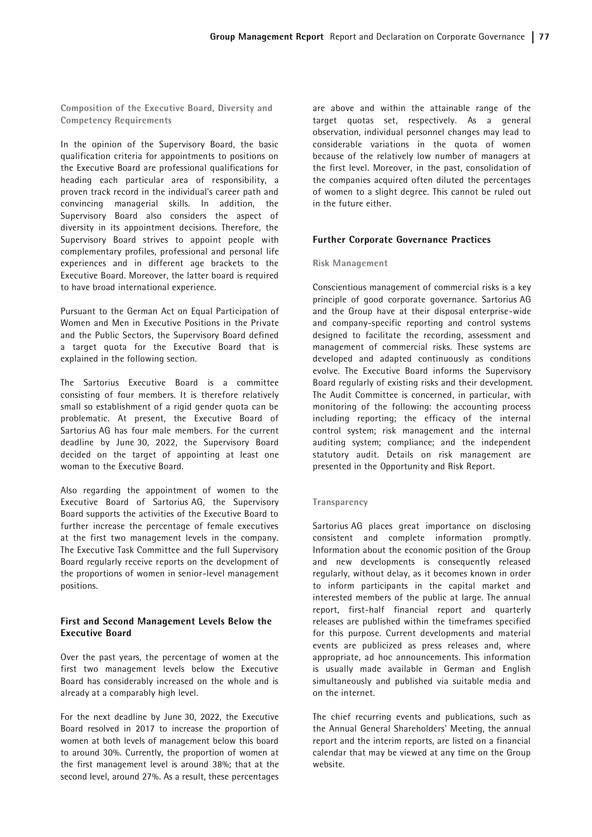Composition of the Executive Board, Diversity and Competency Requirements

In the opinion of the Supervisory Board, the basic qualification criteria for appointments to positions on the Executive Board are professional qualifications for heading each particular area of responsibility, a proven track record in the individual's career path and convincing managerial skills. In addition, the Supervisory Board also considers the aspect of diversity in its appointment decisions. Therefore, the Supervisory Board strives to appoint people with complementary profiles, professional and personal life experiences and in different age brackets to the Executive Board. Moreover, the latter board is required to have broad international experience.

Pursuant to the German Act on Equal Participation of Women and Men in Executive Positions in the Private and the Public Sectors, the Supervisory Board defined a target quota for the Executive Board that is explained in the following section.

The Sartorius Executive Board is a committee consisting of four members. It is therefore relatively small so establishment of a rigid gender quota can be problematic. At present, the Executive Board of Sartorius AG has four male members. For the current deadline by June 30, 2022, the Supervisory Board decided on the target of appointing at least one woman to the Executive Board.

Also regarding the appointment of women to the Executive Board of Sartorius AG, the Supervisory Board supports the activities of the Executive Board to further increase the percentage of female executives at the first two management levels in the company. The Executive Task Committee and the full Supervisory Board regularly receive reports on the development of the proportions of women in senior-level management positions.

## First and Second Management Levels Below the Executive Board

Over the past years, the percentage of women at the first two management levels below the Executive Board has considerably increased on the whole and is already at a comparably high level.

For the next deadline by June 30, 2022, the Executive Board resolved in 2017 to increase the proportion of women at both levels of management below this board to around 30%. Currently, the proportion of women at the first management level is around 38%; that at the second level, around 27%. As a result, these percentages

are above and within the attainable range of the target quotas set, respectively. As a general observation, individual personnel changes may lead to considerable variations in the quota of women because of the relatively low number of managers at the first level. Moreover, in the past, consolidation of the companies acquired often diluted the percentages of women to a slight degree. This cannot be ruled out in the future either.

## Further Corporate Governance Practices

#### Risk Management

Conscientious management of commercial risks is a key principle of good corporate governance. Sartorius AG and the Group have at their disposal enterprise-wide and company-specific reporting and control systems designed to facilitate the recording, assessment and management of commercial risks. These systems are developed and adapted continuously as conditions evolve. The Executive Board informs the Supervisory Board regularly of existing risks and their development. The Audit Committee is concerned, in particular, with monitoring of the following: the accounting process including reporting; the efficacy of the internal control system; risk management and the internal auditing system; compliance; and the independent statutory audit. Details on risk management are presented in the Opportunity and Risk Report.

#### Transparency

Sartorius AG places great importance on disclosing consistent and complete information promptly. Information about the economic position of the Group and new developments is consequently released regularly, without delay, as it becomes known in order to inform participants in the capital market and interested members of the public at large. The annual report, first-half financial report and quarterly releases are published within the timeframes specified for this purpose. Current developments and material events are publicized as press releases and, where appropriate, ad hoc announcements. This information is usually made available in German and English simultaneously and published via suitable media and on the internet.

The chief recurring events and publications, such as the Annual General Shareholders' Meeting, the annual report and the interim reports, are listed on a financial calendar that may be viewed at any time on the Group website.